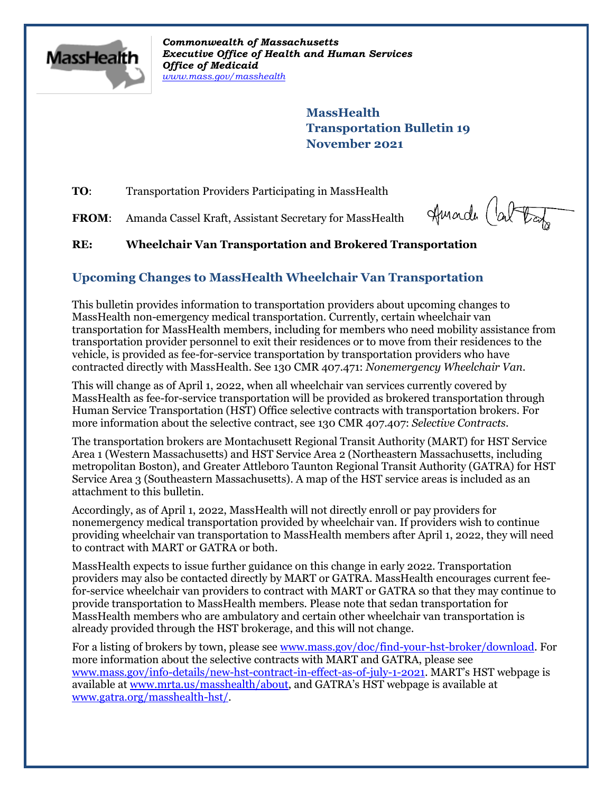

*Commonwealth of Massachusetts Executive Office of Health and Human Services Office of Medicaid [www.mass.gov/masshealth](http://www.mass.gov/masshealth)*

> **MassHealth Transportation Bulletin 19 November 2021**

**TO:** Transportation Providers Participating in MassHealth

FROM: Amanda Cassel Kraft, Assistant Secretary for MassHealth

Amarch Cabota

## **RE: Wheelchair Van Transportation and Brokered Transportation**

## **Upcoming Changes to MassHealth Wheelchair Van Transportation**

This bulletin provides information to transportation providers about upcoming changes to MassHealth non-emergency medical transportation. Currently, certain wheelchair van transportation for MassHealth members, including for members who need mobility assistance from transportation provider personnel to exit their residences or to move from their residences to the vehicle, is provided as fee-for-service transportation by transportation providers who have contracted directly with MassHealth. See 130 CMR 407.471: *Nonemergency Wheelchair Van*.

This will change as of April 1, 2022, when all wheelchair van services currently covered by MassHealth as fee-for-service transportation will be provided as brokered transportation through Human Service Transportation (HST) Office selective contracts with transportation brokers. For more information about the selective contract, see 130 CMR 407.407: *Selective Contracts.*

The transportation brokers are Montachusett Regional Transit Authority (MART) for HST Service Area 1 (Western Massachusetts) and HST Service Area 2 (Northeastern Massachusetts, including metropolitan Boston), and Greater Attleboro Taunton Regional Transit Authority (GATRA) for HST Service Area 3 (Southeastern Massachusetts). A map of the HST service areas is included as an attachment to this bulletin.

Accordingly, as of April 1, 2022, MassHealth will not directly enroll or pay providers for nonemergency medical transportation provided by wheelchair van. If providers wish to continue providing wheelchair van transportation to MassHealth members after April 1, 2022, they will need to contract with MART or GATRA or both.

MassHealth expects to issue further guidance on this change in early 2022. Transportation providers may also be contacted directly by MART or GATRA. MassHealth encourages current feefor-service wheelchair van providers to contract with MART or GATRA so that they may continue to provide transportation to MassHealth members. Please note that sedan transportation for MassHealth members who are ambulatory and certain other wheelchair van transportation is already provided through the HST brokerage, and this will not change.

For a listing of brokers by town, please see [www.mass.gov/doc/find-your-hst-broker/download.](http://www.mass.gov/doc/find-your-hst-broker/download) For more information about the selective contracts with MART and GATRA, please see [www.mass.gov/info-details/new-hst-contract-in-effect-as-of-july-1-2021.](http://www.mass.gov/info-details/new-hst-contract-in-effect-as-of-july-1-2021) MART's HST webpage is available a[t www.mrta.us/masshealth/about,](http://www.mrta.us/masshealth/about) and GATRA's HST webpage is available at [www.gatra.org/masshealth-hst/.](http://www.gatra.org/masshealth-hst/)